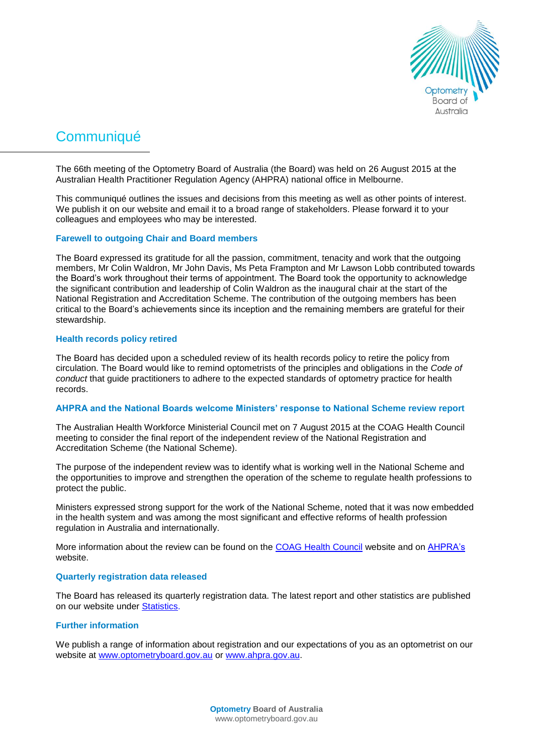

# **Communiqué**

The 66th meeting of the Optometry Board of Australia (the Board) was held on 26 August 2015 at the Australian Health Practitioner Regulation Agency (AHPRA) national office in Melbourne.

This communiqué outlines the issues and decisions from this meeting as well as other points of interest. We publish it on our website and email it to a broad range of stakeholders. Please forward it to your colleagues and employees who may be interested.

# **Farewell to outgoing Chair and Board members**

The Board expressed its gratitude for all the passion, commitment, tenacity and work that the outgoing members, Mr Colin Waldron, Mr John Davis, Ms Peta Frampton and Mr Lawson Lobb contributed towards the Board's work throughout their terms of appointment. The Board took the opportunity to acknowledge the significant contribution and leadership of Colin Waldron as the inaugural chair at the start of the National Registration and Accreditation Scheme. The contribution of the outgoing members has been critical to the Board's achievements since its inception and the remaining members are grateful for their stewardship.

## **Health records policy retired**

The Board has decided upon a scheduled review of its health records policy to retire the policy from circulation. The Board would like to remind optometrists of the principles and obligations in the *Code of conduct* that guide practitioners to adhere to the expected standards of optometry practice for health records.

#### **AHPRA and the National Boards welcome Ministers' response to National Scheme review report**

The Australian Health Workforce Ministerial Council met on 7 August 2015 at the COAG Health Council meeting to consider the final report of the independent review of the National Registration and Accreditation Scheme (the National Scheme).

The purpose of the independent review was to identify what is working well in the National Scheme and the opportunities to improve and strengthen the operation of the scheme to regulate health professions to protect the public.

Ministers expressed strong support for the work of the National Scheme, noted that it was now embedded in the health system and was among the most significant and effective reforms of health profession regulation in Australia and internationally.

More information about the review can be found on the [COAG Health Council](http://www.coaghealthcouncil.gov.au/Publications/Reports/ArtMID/514/ArticleID/68/The-Independent-Review-of-the-National-Registration-and-Accreditation-Scheme-for-health-professionals) website and on [AHPRA's](http://www.ahpra.gov.au/News/2015-08-10-media-statement.aspx) website.

#### **Quarterly registration data released**

The Board has released its quarterly registration data. The latest report and other statistics are published on our website under [Statistics.](http://www.optometryboard.gov.au/About/Statistics.aspx)

# **Further information**

We publish a range of information about registration and our expectations of you as an optometrist on our website at [www.optometryboard.gov.au](http://www.optometryboard.gov.au/) or [www.ahpra.gov.au.](http://www.ahpra.gov.au/)